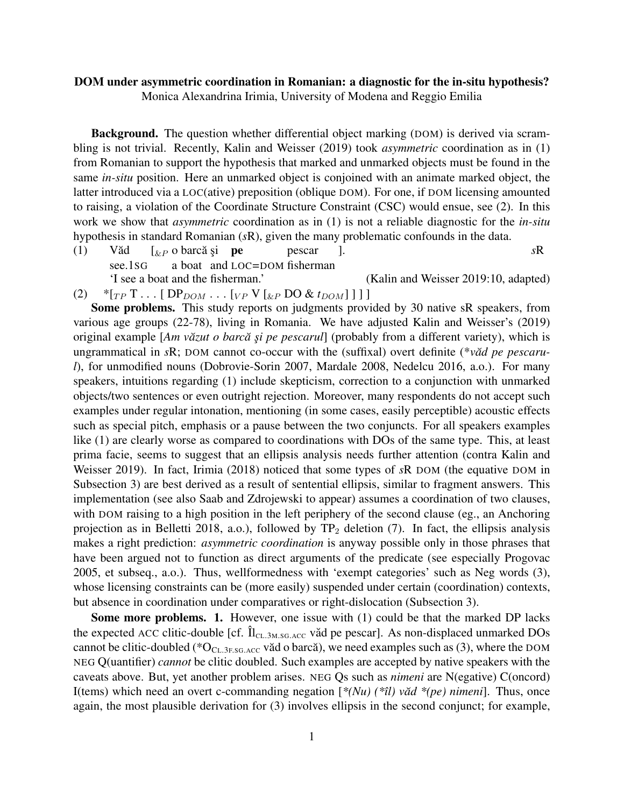## DOM under asymmetric coordination in Romanian: a diagnostic for the in-situ hypothesis?

Monica Alexandrina Irimia, University of Modena and Reggio Emilia

**Background.** The question whether differential object marking (DOM) is derived via scrambling is not trivial. Recently, Kalin and Weisser (2019) took *asymmetric* coordination as in (1) from Romanian to support the hypothesis that marked and unmarked objects must be found in the same *in-situ* position. Here an unmarked object is conjoined with an animate marked object, the latter introduced via a LOC(ative) preposition (oblique DOM). For one, if DOM licensing amounted to raising, a violation of the Coordinate Structure Constraint (CSC) would ensue, see (2). In this work we show that *asymmetric* coordination as in (1) is not a reliable diagnostic for the *in-situ* hypothesis in standard Romanian (*s*R), given the many problematic confounds in the data.

 $(1)$  Văd see.1SG  $\left[\begin{smallmatrix} \& P \end{smallmatrix}\right]$  o barcă și pe a boat and LOC=DOM fisherman pescar ]. *s*R 'I see a boat and the fisherman.' (Kalin and Weisser 2019:10, adapted)

 $(2)$  \*[<sub>TP</sub> T . . . [ DP<sub>DOM</sub> . . . [<sub>VP</sub> V [<sub>&P</sub> DO & *t*<sub>DOM</sub>]]]]

Some problems. This study reports on judgments provided by 30 native sR speakers, from various age groups (22-78), living in Romania. We have adjusted Kalin and Weisser's (2019) original example [Am văzut o barcă și pe pescarul] (probably from a different variety), which is ungrammatical in *sR*; DOM cannot co-occur with the (suffixal) overt definite (\**vad pe pescarul*), for unmodified nouns (Dobrovie-Sorin 2007, Mardale 2008, Nedelcu 2016, a.o.). For many speakers, intuitions regarding (1) include skepticism, correction to a conjunction with unmarked objects/two sentences or even outright rejection. Moreover, many respondents do not accept such examples under regular intonation, mentioning (in some cases, easily perceptible) acoustic effects such as special pitch, emphasis or a pause between the two conjuncts. For all speakers examples like (1) are clearly worse as compared to coordinations with DOs of the same type. This, at least prima facie, seems to suggest that an ellipsis analysis needs further attention (contra Kalin and Weisser 2019). In fact, Irimia (2018) noticed that some types of *s*R DOM (the equative DOM in Subsection 3) are best derived as a result of sentential ellipsis, similar to fragment answers. This implementation (see also Saab and Zdrojewski to appear) assumes a coordination of two clauses, with DOM raising to a high position in the left periphery of the second clause (eg., an Anchoring projection as in Belletti 2018, a.o.), followed by  $TP_2$  deletion (7). In fact, the ellipsis analysis makes a right prediction: *asymmetric coordination* is anyway possible only in those phrases that have been argued not to function as direct arguments of the predicate (see especially Progovac 2005, et subseq., a.o.). Thus, wellformedness with 'exempt categories' such as Neg words (3), whose licensing constraints can be (more easily) suspended under certain (coordination) contexts, but absence in coordination under comparatives or right-dislocation (Subsection 3).

Some more problems. 1. However, one issue with (1) could be that the marked DP lacks the expected ACC clitic-double [cf.  $\hat{\Pi}_{CL.3M.SG. ACC}$  văd pe pescar]. As non-displaced unmarked DOs cannot be clitic-doubled (\* $O_{CL.3F.SG.ACC}$  văd o barcă), we need examples such as (3), where the DOM NEG Q(uantifier) *cannot* be clitic doubled. Such examples are accepted by native speakers with the caveats above. But, yet another problem arises. NEG Qs such as *nimeni* are N(egative) C(oncord) I(tems) which need an overt c-commanding negation  $[*(Nu) (*il) \text{ v\ddot{a}d} * (pe) \text{ nimeni}]$ . Thus, once again, the most plausible derivation for (3) involves ellipsis in the second conjunct; for example,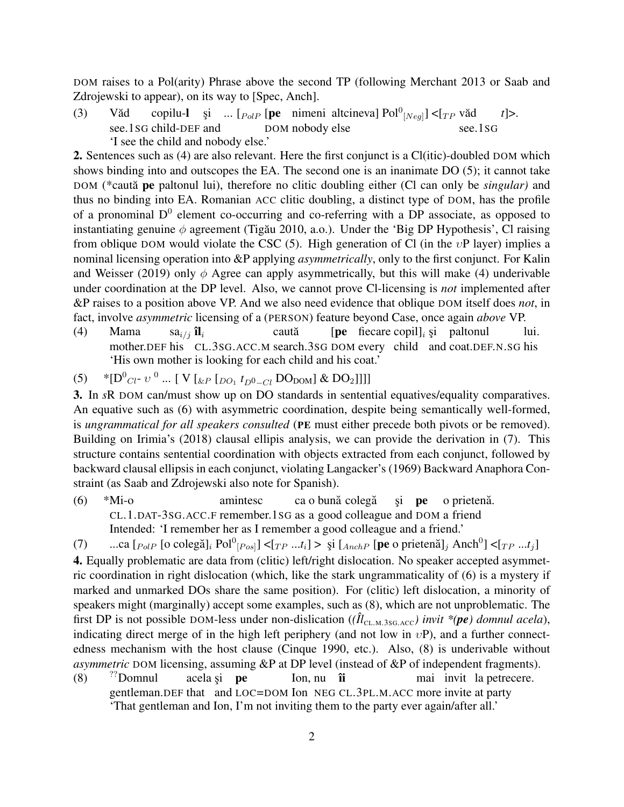DOM raises to a Pol(arity) Phrase above the second TP (following Merchant 2013 or Saab and Zdrojewski to appear), on its way to [Spec, Anch].

 $(3)$  Văd see.1SG child-DEF and copilu-l și ... [ $_{PolP}$  [pe nimeni altcineva]  $Pol^0_{[Neg]}]$  <[ $_{TP}$  văd DOM nobody else see.1SG *t*]>. 'I see the child and nobody else.'

2. Sentences such as (4) are also relevant. Here the first conjunct is a Cl(itic)-doubled DOM which shows binding into and outscopes the EA. The second one is an inanimate DO (5); it cannot take DOM (\*caută pe paltonul lui), therefore no clitic doubling either (Cl can only be *singular*) and thus no binding into EA. Romanian ACC clitic doubling, a distinct type of DOM, has the profile of a pronominal  $D^0$  element co-occurring and co-referring with a DP associate, as opposed to instantiating genuine  $\phi$  agreement (Tigău 2010, a.o.). Under the 'Big DP Hypothesis', Cl raising from oblique DOM would violate the CSC (5). High generation of Cl (in the  $vP$  layer) implies a nominal licensing operation into &P applying *asymmetrically*, only to the first conjunct. For Kalin and Weisser (2019) only  $\phi$  Agree can apply asymmetrically, but this will make (4) underivable under coordination at the DP level. Also, we cannot prove Cl-licensing is *not* implemented after &P raises to a position above VP. And we also need evidence that oblique DOM itself does *not*, in fact, involve *asymmetric* licensing of a (PERSON) feature beyond Case, once again *above* VP.

(4) Mama mother.DEF his CL.3SG.ACC.M search.3SG DOM every child and coat.DEF.N.SG his sa $_{i/j}$  îl $_i$ caută [pe fiecare copil] $_i$  și paltonul lui. 'His own mother is looking for each child and his coat.'

(5) \* $[D^0_{Cl^-} v^0 ... [ V [ \& p [ D_{O_1} t_{D^0 - Cl} D_{DOM} ] \& D_{2} ] ] ] ]$ 

3. In *s*R DOM can/must show up on DO standards in sentential equatives/equality comparatives. An equative such as (6) with asymmetric coordination, despite being semantically well-formed, is *ungrammatical for all speakers consulted* (PE must either precede both pivots or be removed). Building on Irimia's (2018) clausal ellipis analysis, we can provide the derivation in (7). This structure contains sentential coordination with objects extracted from each conjunct, followed by backward clausal ellipsis in each conjunct, violating Langacker's (1969) Backward Anaphora Constraint (as Saab and Zdrojewski also note for Spanish).

 $(6)$  \*Mi-o CL.1.DAT-3SG.ACC.F remember.1SG as a good colleague and DOM a friend amintesc ca o bună colegă şi pe o prietenă. Intended: 'I remember her as I remember a good colleague and a friend.'

(7) ...ca  $\left[$ <sub>PolP</sub>  $\left[$ o colegă]<sub>i</sub> Pol<sup>0</sup> $_{[Pos]}$ ] < $\left[$  $_{TP}$  ...t<sub>i</sub> $\right]$  >  $\frac{1}{2}$   $\left[$ <sub>AnchP</sub>  $\left[$ **pe** o prietenă]<sub>j</sub> Anch<sup>0</sup>] < $\left[$  $_{TP}$  ...t<sub>j</sub> $\right]$ 

4. Equally problematic are data from (clitic) left/right dislocation. No speaker accepted asymmetric coordination in right dislocation (which, like the stark ungrammaticality of (6) is a mystery if marked and unmarked DOs share the same position). For (clitic) left dislocation, a minority of speakers might (marginally) accept some examples, such as (8), which are not unproblematic. The first DP is not possible DOM-less under non-dislication ( $(\hat{I}l_{CL.M.3SG.ACC})$  invit \*(*pe*) domnul acela), indicating direct merge of in the high left periphery (and not low in  $vP$ ), and a further connectedness mechanism with the host clause (Cinque 1990, etc.). Also, (8) is underivable without *asymmetric* DOM licensing, assuming &P at DP level (instead of &P of independent fragments).

 $(8)$  ??Domnul gentleman. DEF that and LOC=DOM Ion NEG CL.3PL.M. ACC more invite at party acela și **pe** Ion, nu îi mai invit la petrecere. 'That gentleman and Ion, I'm not inviting them to the party ever again/after all.'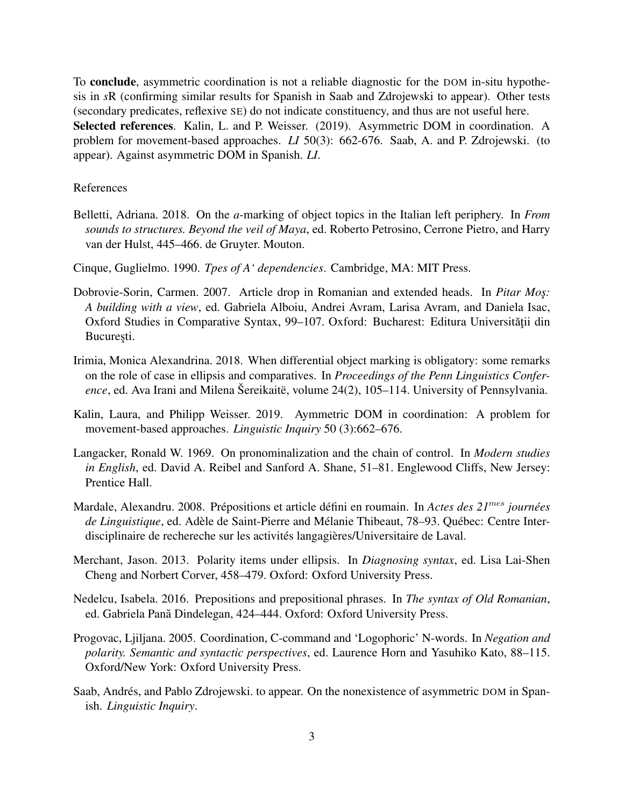To conclude, asymmetric coordination is not a reliable diagnostic for the DOM in-situ hypothesis in *s*R (confirming similar results for Spanish in Saab and Zdrojewski to appear). Other tests (secondary predicates, reflexive SE) do not indicate constituency, and thus are not useful here. Selected references. Kalin, L. and P. Weisser. (2019). Asymmetric DOM in coordination. A problem for movement-based approaches. *LI* 50(3): 662-676. Saab, A. and P. Zdrojewski. (to appear). Against asymmetric DOM in Spanish. *LI*.

## References

- Belletti, Adriana. 2018. On the *a*-marking of object topics in the Italian left periphery. In *From sounds to structures. Beyond the veil of Maya*, ed. Roberto Petrosino, Cerrone Pietro, and Harry van der Hulst, 445–466. de Gruyter. Mouton.
- Cinque, Guglielmo. 1990. *Tpes of A' dependencies*. Cambridge, MA: MIT Press.
- Dobrovie-Sorin, Carmen. 2007. Article drop in Romanian and extended heads. In *Pitar Mos*: *A building with a view*, ed. Gabriela Alboiu, Andrei Avram, Larisa Avram, and Daniela Isac, Oxford Studies in Comparative Syntax, 99–107. Oxford: Bucharest: Editura Universității din București.
- Irimia, Monica Alexandrina. 2018. When differential object marking is obligatory: some remarks on the role of case in ellipsis and comparatives. In *Proceedings of the Penn Linguistics Conference*, ed. Ava Irani and Milena Šereikaitë, volume 24(2), 105–114. University of Pennsylvania.
- Kalin, Laura, and Philipp Weisser. 2019. Aymmetric DOM in coordination: A problem for movement-based approaches. *Linguistic Inquiry* 50 (3):662–676.
- Langacker, Ronald W. 1969. On pronominalization and the chain of control. In *Modern studies in English*, ed. David A. Reibel and Sanford A. Shane, 51–81. Englewood Cliffs, New Jersey: Prentice Hall.
- Mardale, Alexandru. 2008. Prépositions et article défini en roumain. In *Actes des 21*mes *journées de Linguistique*, ed. Adèle de Saint-Pierre and Mélanie Thibeaut, 78–93. Québec: Centre Interdisciplinaire de rechereche sur les activités langagières/Universitaire de Laval.
- Merchant, Jason. 2013. Polarity items under ellipsis. In *Diagnosing syntax*, ed. Lisa Lai-Shen Cheng and Norbert Corver, 458–479. Oxford: Oxford University Press.
- Nedelcu, Isabela. 2016. Prepositions and prepositional phrases. In *The syntax of Old Romanian*, ed. Gabriela Pană Dindelegan, 424–444. Oxford: Oxford University Press.
- Progovac, Ljiljana. 2005. Coordination, C-command and 'Logophoric' N-words. In *Negation and polarity. Semantic and syntactic perspectives*, ed. Laurence Horn and Yasuhiko Kato, 88–115. Oxford/New York: Oxford University Press.
- Saab, Andrés, and Pablo Zdrojewski. to appear. On the nonexistence of asymmetric DOM in Spanish. *Linguistic Inquiry*.